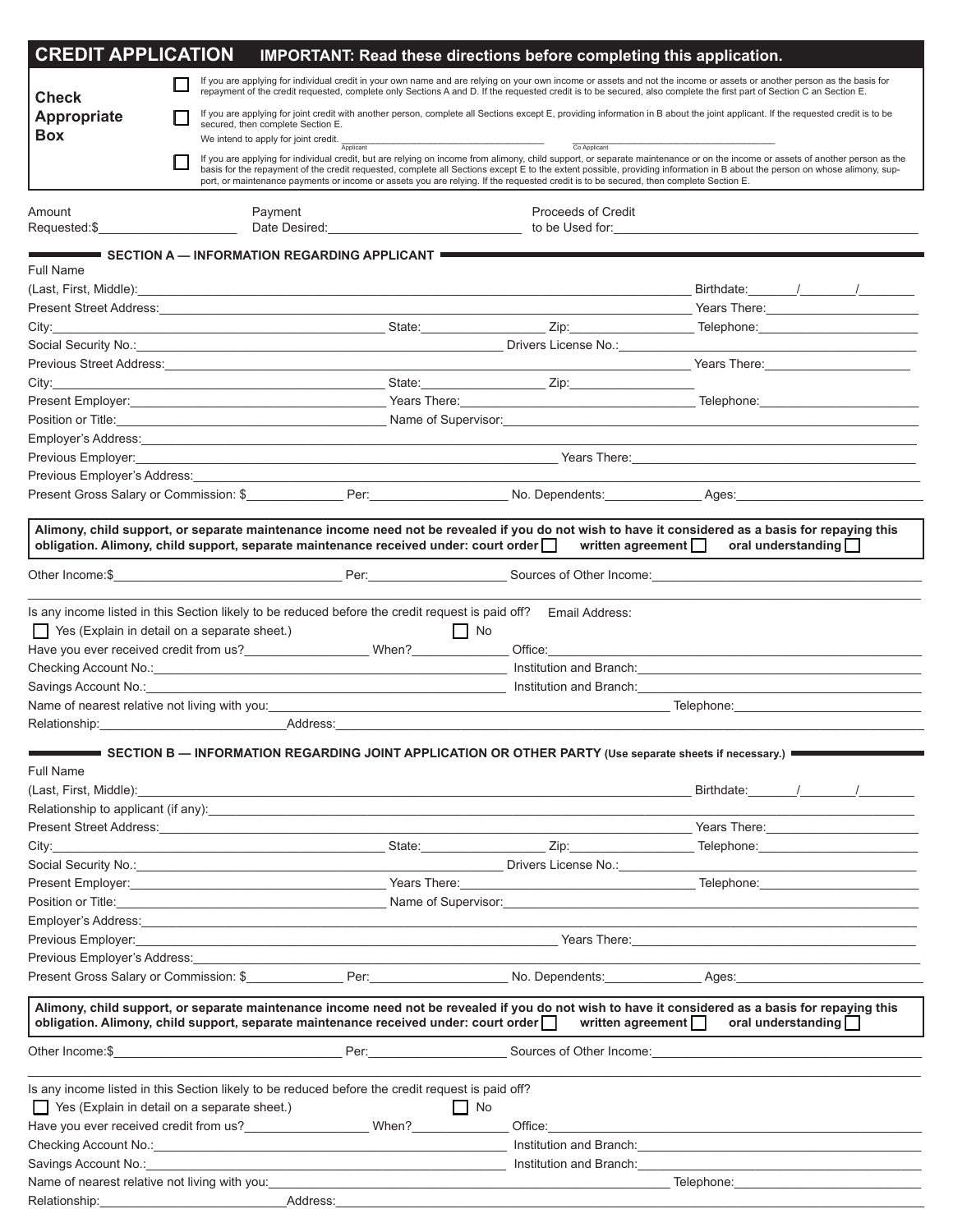| <b>CREDIT APPLICATION</b>                           |                                                                                                                                                                                                                                                                                                                                                                          |                                                                                                                                                                                                                                |  |                   | <b>IMPORTANT: Read these directions before completing this application.</b>                                                                                                                                                    |                                                                                                                                                                                                                                                                                                                                                             |
|-----------------------------------------------------|--------------------------------------------------------------------------------------------------------------------------------------------------------------------------------------------------------------------------------------------------------------------------------------------------------------------------------------------------------------------------|--------------------------------------------------------------------------------------------------------------------------------------------------------------------------------------------------------------------------------|--|-------------------|--------------------------------------------------------------------------------------------------------------------------------------------------------------------------------------------------------------------------------|-------------------------------------------------------------------------------------------------------------------------------------------------------------------------------------------------------------------------------------------------------------------------------------------------------------------------------------------------------------|
|                                                     |                                                                                                                                                                                                                                                                                                                                                                          |                                                                                                                                                                                                                                |  |                   |                                                                                                                                                                                                                                | If you are applying for individual credit in your own name and are relying on your own income or assets and not the income or assets or another person as the basis for                                                                                                                                                                                     |
| <b>Appropriate</b>                                  | repayment of the credit requested, complete only Sections A and D. If the requested credit is to be secured, also complete the first part of Section C an Section E.<br><b>Check</b><br>If you are applying for joint credit with another person, complete all Sections except E, providing information in B about the joint applicant. If the requested credit is to be |                                                                                                                                                                                                                                |  |                   |                                                                                                                                                                                                                                |                                                                                                                                                                                                                                                                                                                                                             |
| Box                                                 | secured, then complete Section E.<br>We intend to apply for joint credit.<br>Co Applicant<br>Applicant                                                                                                                                                                                                                                                                   |                                                                                                                                                                                                                                |  |                   |                                                                                                                                                                                                                                |                                                                                                                                                                                                                                                                                                                                                             |
|                                                     |                                                                                                                                                                                                                                                                                                                                                                          |                                                                                                                                                                                                                                |  |                   | port, or maintenance payments or income or assets you are relying. If the requested credit is to be secured, then complete Section E.                                                                                          | If you are applying for individual credit, but are relying on income from alimony, child support, or separate maintenance or on the income or assets of another person as the<br>basis for the repayment of the credit requested, complete all Sections except E to the extent possible, providing information in B about the person on whose alimony, sup- |
| Amount                                              |                                                                                                                                                                                                                                                                                                                                                                          | Payment                                                                                                                                                                                                                        |  |                   | Proceeds of Credit<br>Date Desired: <u>All and the Used for:</u> The Used for: <b>Container to be Used for:</b> All and the Used for:                                                                                          |                                                                                                                                                                                                                                                                                                                                                             |
|                                                     |                                                                                                                                                                                                                                                                                                                                                                          |                                                                                                                                                                                                                                |  |                   |                                                                                                                                                                                                                                |                                                                                                                                                                                                                                                                                                                                                             |
| <b>Full Name</b>                                    |                                                                                                                                                                                                                                                                                                                                                                          | SECTION A - INFORMATION REGARDING APPLICANT                                                                                                                                                                                    |  |                   |                                                                                                                                                                                                                                |                                                                                                                                                                                                                                                                                                                                                             |
|                                                     |                                                                                                                                                                                                                                                                                                                                                                          |                                                                                                                                                                                                                                |  |                   |                                                                                                                                                                                                                                |                                                                                                                                                                                                                                                                                                                                                             |
|                                                     |                                                                                                                                                                                                                                                                                                                                                                          |                                                                                                                                                                                                                                |  |                   |                                                                                                                                                                                                                                |                                                                                                                                                                                                                                                                                                                                                             |
|                                                     |                                                                                                                                                                                                                                                                                                                                                                          |                                                                                                                                                                                                                                |  |                   |                                                                                                                                                                                                                                |                                                                                                                                                                                                                                                                                                                                                             |
|                                                     |                                                                                                                                                                                                                                                                                                                                                                          |                                                                                                                                                                                                                                |  |                   | Social Security No.: Contract Decision Contract Decision City Divers License No.: Contract Decision Contract Decision Contract Decision Divers License No.: Contract Decision Contract Decision Contract Decision Contract Dec |                                                                                                                                                                                                                                                                                                                                                             |
|                                                     |                                                                                                                                                                                                                                                                                                                                                                          |                                                                                                                                                                                                                                |  |                   |                                                                                                                                                                                                                                | Years There: <b>William Street Street Street Street Street Street Street Street Street Street Street Street Street Street Street Street Street Street Street Street Street Street Street Street Street Street Street Street Stre</b>                                                                                                                        |
|                                                     |                                                                                                                                                                                                                                                                                                                                                                          | City: Zip: Zip: Zip: 2014.                                                                                                                                                                                                     |  |                   |                                                                                                                                                                                                                                |                                                                                                                                                                                                                                                                                                                                                             |
|                                                     |                                                                                                                                                                                                                                                                                                                                                                          |                                                                                                                                                                                                                                |  |                   |                                                                                                                                                                                                                                | Telephone: The Contract of the Contract of the Contract of the Contract of the Contract of the Contract of the                                                                                                                                                                                                                                              |
|                                                     |                                                                                                                                                                                                                                                                                                                                                                          |                                                                                                                                                                                                                                |  |                   | Position or Title: Name of Supervisor: Name of Supervisor: Name of Supervisor: Name of Supervisor: Name of Supervisor:                                                                                                         |                                                                                                                                                                                                                                                                                                                                                             |
|                                                     |                                                                                                                                                                                                                                                                                                                                                                          | Employer's Address: The Contract of the Contract of the Contract of the Contract of the Contract of the Contract of the Contract of the Contract of the Contract of the Contract of the Contract of the Contract of the Contra |  |                   |                                                                                                                                                                                                                                |                                                                                                                                                                                                                                                                                                                                                             |
|                                                     |                                                                                                                                                                                                                                                                                                                                                                          |                                                                                                                                                                                                                                |  |                   |                                                                                                                                                                                                                                |                                                                                                                                                                                                                                                                                                                                                             |
| Previous Employer's Address:                        |                                                                                                                                                                                                                                                                                                                                                                          |                                                                                                                                                                                                                                |  |                   |                                                                                                                                                                                                                                |                                                                                                                                                                                                                                                                                                                                                             |
|                                                     |                                                                                                                                                                                                                                                                                                                                                                          |                                                                                                                                                                                                                                |  |                   |                                                                                                                                                                                                                                |                                                                                                                                                                                                                                                                                                                                                             |
|                                                     |                                                                                                                                                                                                                                                                                                                                                                          |                                                                                                                                                                                                                                |  |                   |                                                                                                                                                                                                                                | Alimony, child support, or separate maintenance income need not be revealed if you do not wish to have it considered as a basis for repaying this<br>obligation. Alimony, child support, separate maintenance received under: court order written agreement oral understanding                                                                              |
|                                                     |                                                                                                                                                                                                                                                                                                                                                                          |                                                                                                                                                                                                                                |  |                   |                                                                                                                                                                                                                                |                                                                                                                                                                                                                                                                                                                                                             |
|                                                     |                                                                                                                                                                                                                                                                                                                                                                          | Is any income listed in this Section likely to be reduced before the credit request is paid off? Email Address:                                                                                                                |  |                   |                                                                                                                                                                                                                                |                                                                                                                                                                                                                                                                                                                                                             |
| Yes (Explain in detail on a separate sheet.)        |                                                                                                                                                                                                                                                                                                                                                                          |                                                                                                                                                                                                                                |  | $\mathsf{I}$ No   |                                                                                                                                                                                                                                |                                                                                                                                                                                                                                                                                                                                                             |
|                                                     |                                                                                                                                                                                                                                                                                                                                                                          | Have you ever received credit from us?______________________When?________________Office:______________________                                                                                                                 |  |                   |                                                                                                                                                                                                                                |                                                                                                                                                                                                                                                                                                                                                             |
|                                                     |                                                                                                                                                                                                                                                                                                                                                                          |                                                                                                                                                                                                                                |  |                   |                                                                                                                                                                                                                                | Checking Account No.: <b>Checking Account No.: Checking Account No.: Checking Account No.: Checking Account No.: Checking Account No.: Checking Account No.:</b>                                                                                                                                                                                            |
| Savings Account No.:                                |                                                                                                                                                                                                                                                                                                                                                                          |                                                                                                                                                                                                                                |  |                   |                                                                                                                                                                                                                                |                                                                                                                                                                                                                                                                                                                                                             |
|                                                     |                                                                                                                                                                                                                                                                                                                                                                          | Name of nearest relative not living with you:                                                                                                                                                                                  |  |                   |                                                                                                                                                                                                                                |                                                                                                                                                                                                                                                                                                                                                             |
|                                                     |                                                                                                                                                                                                                                                                                                                                                                          |                                                                                                                                                                                                                                |  |                   |                                                                                                                                                                                                                                |                                                                                                                                                                                                                                                                                                                                                             |
|                                                     |                                                                                                                                                                                                                                                                                                                                                                          |                                                                                                                                                                                                                                |  |                   | SECTION B - INFORMATION REGARDING JOINT APPLICATION OR OTHER PARTY (Use separate sheets if necessary.)                                                                                                                         |                                                                                                                                                                                                                                                                                                                                                             |
| Full Name                                           |                                                                                                                                                                                                                                                                                                                                                                          |                                                                                                                                                                                                                                |  |                   |                                                                                                                                                                                                                                |                                                                                                                                                                                                                                                                                                                                                             |
|                                                     |                                                                                                                                                                                                                                                                                                                                                                          |                                                                                                                                                                                                                                |  |                   |                                                                                                                                                                                                                                |                                                                                                                                                                                                                                                                                                                                                             |
|                                                     |                                                                                                                                                                                                                                                                                                                                                                          |                                                                                                                                                                                                                                |  |                   |                                                                                                                                                                                                                                |                                                                                                                                                                                                                                                                                                                                                             |
|                                                     |                                                                                                                                                                                                                                                                                                                                                                          |                                                                                                                                                                                                                                |  |                   |                                                                                                                                                                                                                                |                                                                                                                                                                                                                                                                                                                                                             |
|                                                     |                                                                                                                                                                                                                                                                                                                                                                          |                                                                                                                                                                                                                                |  |                   |                                                                                                                                                                                                                                |                                                                                                                                                                                                                                                                                                                                                             |
|                                                     |                                                                                                                                                                                                                                                                                                                                                                          |                                                                                                                                                                                                                                |  |                   |                                                                                                                                                                                                                                |                                                                                                                                                                                                                                                                                                                                                             |
|                                                     |                                                                                                                                                                                                                                                                                                                                                                          |                                                                                                                                                                                                                                |  |                   |                                                                                                                                                                                                                                |                                                                                                                                                                                                                                                                                                                                                             |
|                                                     |                                                                                                                                                                                                                                                                                                                                                                          |                                                                                                                                                                                                                                |  |                   |                                                                                                                                                                                                                                | Position or Title: Name of Supervisor: Name of Supervisor: Name of Supervisor: Name of Supervisor: Name of Supervisor: Name of Supervisor: Name of Supervisor: Name of Supervisor: Name of Supervisor: Name of Supervisor: Nam                                                                                                                              |
|                                                     |                                                                                                                                                                                                                                                                                                                                                                          |                                                                                                                                                                                                                                |  |                   |                                                                                                                                                                                                                                |                                                                                                                                                                                                                                                                                                                                                             |
|                                                     |                                                                                                                                                                                                                                                                                                                                                                          |                                                                                                                                                                                                                                |  |                   |                                                                                                                                                                                                                                |                                                                                                                                                                                                                                                                                                                                                             |
|                                                     |                                                                                                                                                                                                                                                                                                                                                                          |                                                                                                                                                                                                                                |  |                   |                                                                                                                                                                                                                                |                                                                                                                                                                                                                                                                                                                                                             |
|                                                     |                                                                                                                                                                                                                                                                                                                                                                          |                                                                                                                                                                                                                                |  |                   |                                                                                                                                                                                                                                |                                                                                                                                                                                                                                                                                                                                                             |
|                                                     |                                                                                                                                                                                                                                                                                                                                                                          |                                                                                                                                                                                                                                |  |                   | obligation. Alimony, child support, separate maintenance received under: court order written agreement                                                                                                                         | Alimony, child support, or separate maintenance income need not be revealed if you do not wish to have it considered as a basis for repaying this<br>oral understanding                                                                                                                                                                                     |
|                                                     |                                                                                                                                                                                                                                                                                                                                                                          |                                                                                                                                                                                                                                |  |                   |                                                                                                                                                                                                                                |                                                                                                                                                                                                                                                                                                                                                             |
|                                                     |                                                                                                                                                                                                                                                                                                                                                                          |                                                                                                                                                                                                                                |  |                   |                                                                                                                                                                                                                                | Other Income:\$ Per: Sources of Other Income:                                                                                                                                                                                                                                                                                                               |
|                                                     |                                                                                                                                                                                                                                                                                                                                                                          | Is any income listed in this Section likely to be reduced before the credit request is paid off?                                                                                                                               |  |                   |                                                                                                                                                                                                                                |                                                                                                                                                                                                                                                                                                                                                             |
| $\Box$ Yes (Explain in detail on a separate sheet.) |                                                                                                                                                                                                                                                                                                                                                                          |                                                                                                                                                                                                                                |  | $\blacksquare$ No |                                                                                                                                                                                                                                |                                                                                                                                                                                                                                                                                                                                                             |
|                                                     |                                                                                                                                                                                                                                                                                                                                                                          | Have you ever received credit from us? _______________________When?_____________                                                                                                                                               |  |                   |                                                                                                                                                                                                                                |                                                                                                                                                                                                                                                                                                                                                             |
|                                                     |                                                                                                                                                                                                                                                                                                                                                                          |                                                                                                                                                                                                                                |  |                   |                                                                                                                                                                                                                                |                                                                                                                                                                                                                                                                                                                                                             |
|                                                     |                                                                                                                                                                                                                                                                                                                                                                          |                                                                                                                                                                                                                                |  |                   |                                                                                                                                                                                                                                | Savings Account No.: Contract of the Contract of the Contract of the United States of the United States of the United States of the United States of the United States of the United States of the United States of the United                                                                                                                              |
|                                                     |                                                                                                                                                                                                                                                                                                                                                                          |                                                                                                                                                                                                                                |  |                   |                                                                                                                                                                                                                                |                                                                                                                                                                                                                                                                                                                                                             |
| Relationship:                                       |                                                                                                                                                                                                                                                                                                                                                                          |                                                                                                                                                                                                                                |  |                   |                                                                                                                                                                                                                                |                                                                                                                                                                                                                                                                                                                                                             |